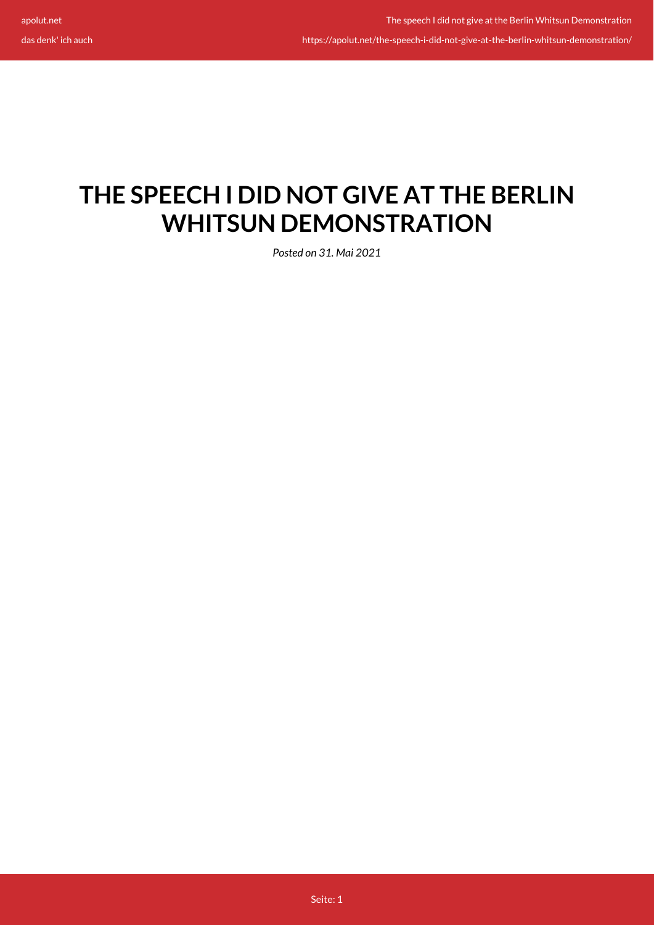das denk' ich auch

https://apolut.net/the-speech-i-did-not-give-at-the-berlin-whitsun-demonstration/

## **THE SPEECH I DID NOT GIVE AT THE BERLIN WHITSUN DEMONSTRATION**

*Posted on 31. Mai 2021*

Seite: 1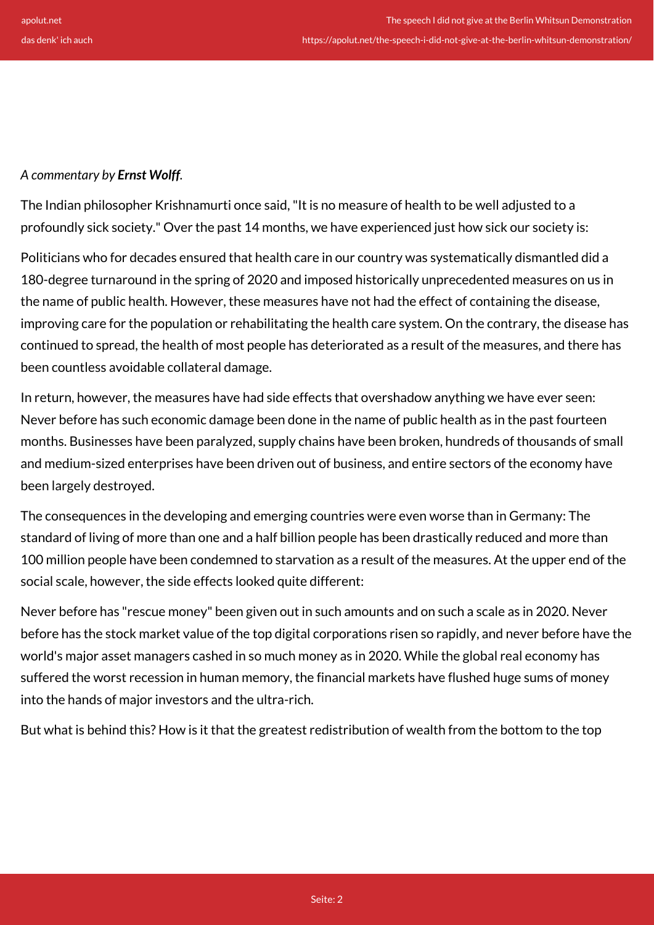https://apolut.net/the-speech-i-did-not-give-at-the-berlin-whitsun-demonstration/

## *A commentary by Ernst Wolff.*

The Indian philosopher Krishnamurti once said, "It is no measure of health to be well adjusted to a profoundly sick society." Over the past 14 months, we have experienced just how sick our society is:

Politicians who for decades ensured that health care in our country was systematically dismantled did a 180-degree turnaround in the spring of 2020 and imposed historically unprecedented measures on us in the name of public health. However, these measures have not had the effect of containing the disease, improving care for the population or rehabilitating the health care system. On the contrary, the disease has continued to spread, the health of most people has deteriorated as a result of the measures, and there has been countless avoidable collateral damage.

In return, however, the measures have had side effects that overshadow anything we have ever seen: Never before has such economic damage been done in the name of public health as in the past fourteen months. Businesses have been paralyzed, supply chains have been broken, hundreds of thousands of small and medium-sized enterprises have been driven out of business, and entire sectors of the economy have been largely destroyed.

The consequences in the developing and emerging countries were even worse than in Germany: The standard of living of more than one and a half billion people has been drastically reduced and more than 100 million people have been condemned to starvation as a result of the measures. At the upper end of the social scale, however, the side effects looked quite different:

Never before has "rescue money" been given out in such amounts and on such a scale as in 2020. Never before has the stock market value of the top digital corporations risen so rapidly, and never before have the world's major asset managers cashed in so much money as in 2020. While the global real economy has suffered the worst recession in human memory, the financial markets have flushed huge sums of money into the hands of major investors and the ultra-rich.

But what is behind this? How is it that the greatest redistribution of wealth from the bottom to the top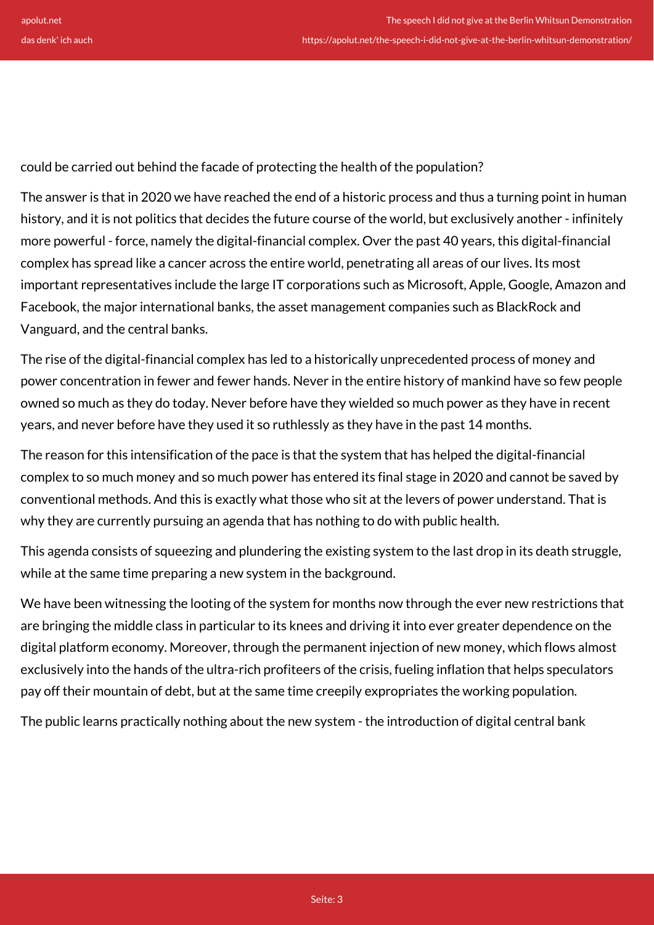could be carried out behind the facade of protecting the health of the population?

The answer is that in 2020 we have reached the end of a historic process and thus a turning point in human history, and it is not politics that decides the future course of the world, but exclusively another - infinitely more powerful - force, namely the digital-financial complex. Over the past 40 years, this digital-financial complex has spread like a cancer across the entire world, penetrating all areas of our lives. Its most important representatives include the large IT corporations such as Microsoft, Apple, Google, Amazon and Facebook, the major international banks, the asset management companies such as BlackRock and Vanguard, and the central banks.

The rise of the digital-financial complex has led to a historically unprecedented process of money and power concentration in fewer and fewer hands. Never in the entire history of mankind have so few people owned so much as they do today. Never before have they wielded so much power as they have in recent years, and never before have they used it so ruthlessly as they have in the past 14 months.

The reason for this intensification of the pace is that the system that has helped the digital-financial complex to so much money and so much power has entered its final stage in 2020 and cannot be saved by conventional methods. And this is exactly what those who sit at the levers of power understand. That is why they are currently pursuing an agenda that has nothing to do with public health.

This agenda consists of squeezing and plundering the existing system to the last drop in its death struggle, while at the same time preparing a new system in the background.

We have been witnessing the looting of the system for months now through the ever new restrictions that are bringing the middle class in particular to its knees and driving it into ever greater dependence on the digital platform economy. Moreover, through the permanent injection of new money, which flows almost exclusively into the hands of the ultra-rich profiteers of the crisis, fueling inflation that helps speculators pay off their mountain of debt, but at the same time creepily expropriates the working population.

The public learns practically nothing about the new system - the introduction of digital central bank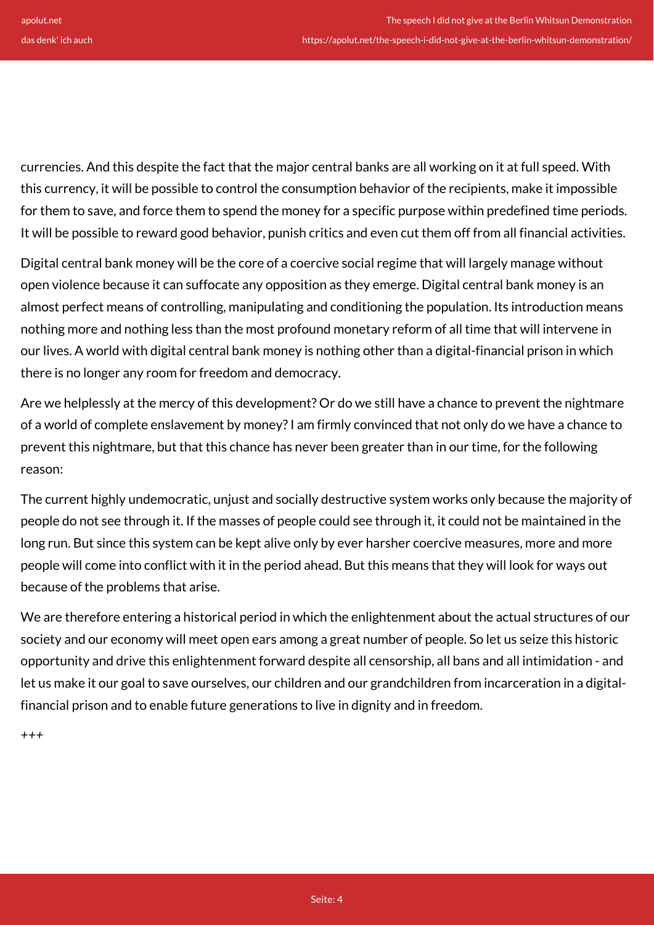currencies. And this despite the fact that the major central banks are all working on it at full speed. With this currency, it will be possible to control the consumption behavior of the recipients, make it impossible for them to save, and force them to spend the money for a specific purpose within predefined time periods. It will be possible to reward good behavior, punish critics and even cut them off from all financial activities.

Digital central bank money will be the core of a coercive social regime that will largely manage without open violence because it can suffocate any opposition as they emerge. Digital central bank money is an almost perfect means of controlling, manipulating and conditioning the population. Its introduction means nothing more and nothing less than the most profound monetary reform of all time that will intervene in our lives. A world with digital central bank money is nothing other than a digital-financial prison in which there is no longer any room for freedom and democracy.

Are we helplessly at the mercy of this development? Or do we still have a chance to prevent the nightmare of a world of complete enslavement by money? I am firmly convinced that not only do we have a chance to prevent this nightmare, but that this chance has never been greater than in our time, for the following reason:

The current highly undemocratic, unjust and socially destructive system works only because the majority of people do not see through it. If the masses of people could see through it, it could not be maintained in the long run. But since this system can be kept alive only by ever harsher coercive measures, more and more people will come into conflict with it in the period ahead. But this means that they will look for ways out because of the problems that arise.

We are therefore entering a historical period in which the enlightenment about the actual structures of our society and our economy will meet open ears among a great number of people. So let us seize this historic opportunity and drive this enlightenment forward despite all censorship, all bans and all intimidation - and let us make it our goal to save ourselves, our children and our grandchildren from incarceration in a digitalfinancial prison and to enable future generations to live in dignity and in freedom.

*+++*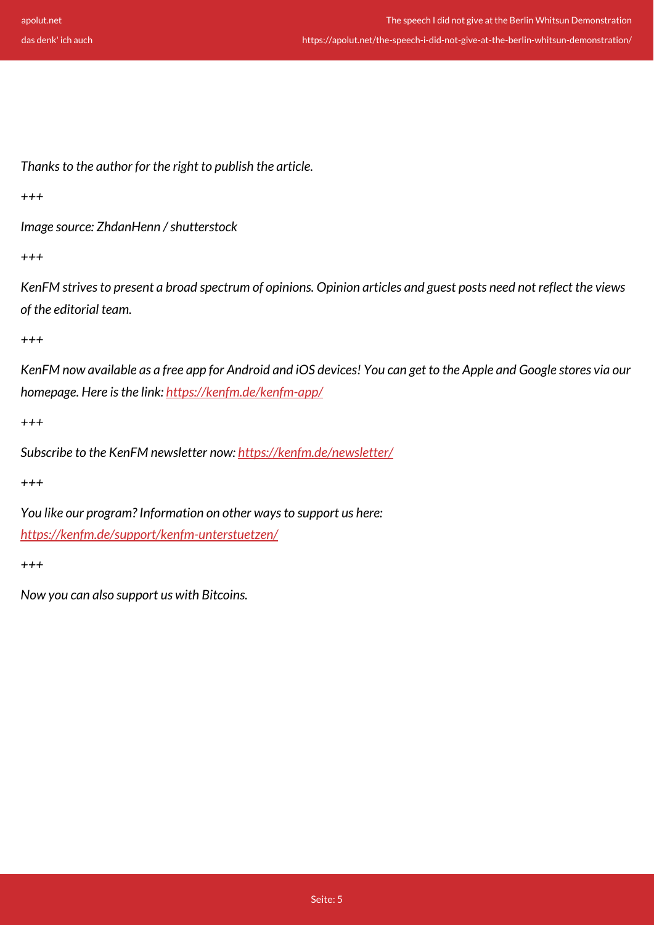https://apolut.net/the-speech-i-did-not-give-at-the-berlin-whitsun-demonstration/

*Thanks to the author for the right to publish the article.*

*+++*

*Image source: ZhdanHenn / shutterstock*

*+++*

*KenFM strives to present a broad spectrum of opinions. Opinion articles and guest posts need not reflect the views of the editorial team.*

*+++*

*KenFM now available as a free app for Android and iOS devices! You can get to the Apple and Google stores via our homepage. Here is the link:<https://kenfm.de/kenfm-app/>*

*+++*

*Subscribe to the KenFM newsletter now: <https://kenfm.de/newsletter/>*

*+++*

*You like our program? Information on other ways to support us here: <https://kenfm.de/support/kenfm-unterstuetzen/>*

*+++*

*Now you can also support us with Bitcoins.*